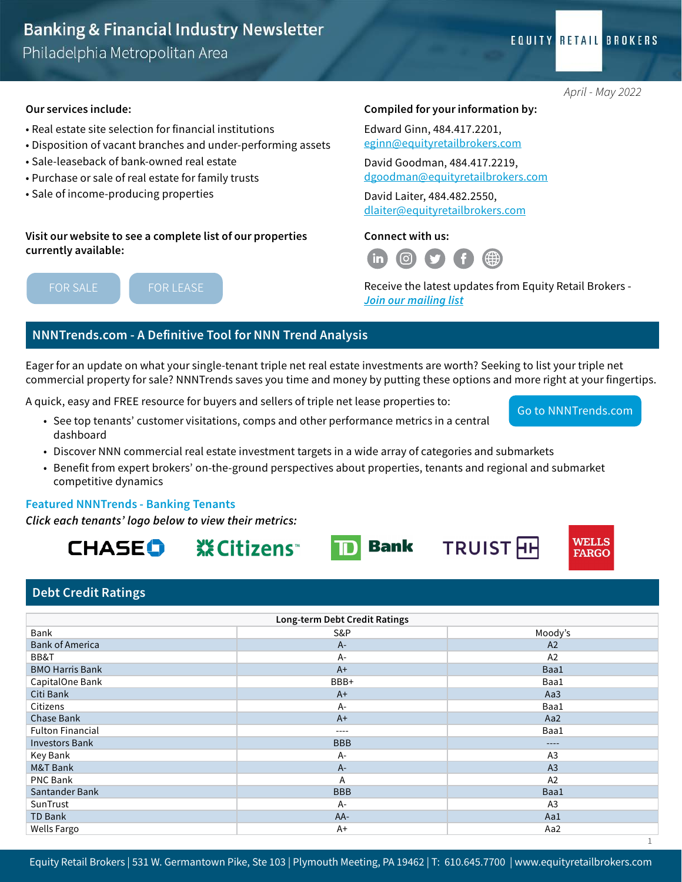#### Our services include:

- Real estate site selection for financial institutions
- Disposition of vacant branches and under-performing assets
- Sale-leaseback of bank-owned real estate
- Purchase or sale of real estate for family trusts
- Sale of income-producing properties

#### Visit our website to see a complete list of our properties currently available:

[FOR LEASE](https://www.equityretailbrokers.com/properties/properties-for-lease/)

## Compiled for your information by:

Edward Ginn, 484.417.2201, [eginn@equityretailbrokers.com](mailto:eginn@equityretailbrokers.com)

David Goodman, 484.417.2219, [dgoodman@equityretailbrokers.com](mailto:dgoodman@equityretailbrokers.com)

David Laiter, 484.482.2550, [dlaiter@equityretailbrokers.com](mailto:dlaiter@equityretailbrokers.com)

#### Connect with us:



Receive the latest updates from Equity Retail Brokers - *[Join our mailing list](https://platform.equityretailbrokers.com/mailing-list?utm_campaign=Banking%20Newsletter&utm_source=hs_email&utm_medium=email&_hsenc=p2ANqtz-9QazLTZEOYXMk6ffIo-EKrnqQoz0-0ISudlErn0u4Ynn7sxkneEz95uwPDUZPPZyeiqFl6)*

**TRUIST HH** 

#### NNNTrends.com - A Definitive Tool for NNN Trend Analysis

Eager for an update on what your single-tenant triple net real estate investments are worth? Seeking to list your triple net commercial property for sale? NNNTrends saves you time and money by putting these options and more right at your fingertips.

A quick, easy and FREE resource for buyers and sellers of triple net lease properties to:

- See top tenants' customer visitations, comps and other performance metrics in a central dashboard
- Discover NNN commercial real estate investment targets in a wide array of categories and submarkets
- Benefit from expert brokers' on-the-ground perspectives about properties, tenants and regional and submarket competitive dynamics

**TD** Bank

#### Featured NNNTrends - Banking Tenants

*Click each tenants' logo below to view their metrics:*

CHASEO

**※Citizens** 

#### Debt Credit Ratings

| Long-term Debt Credit Ratings |            |                |  |  |  |
|-------------------------------|------------|----------------|--|--|--|
| Bank                          | S&P        | Moody's        |  |  |  |
| <b>Bank of America</b>        | $A -$      | A2             |  |  |  |
| BB&T                          | $A -$      | A2             |  |  |  |
| <b>BMO Harris Bank</b>        | $A+$       | Baa1           |  |  |  |
| CapitalOne Bank               | BBB+       | Baa1           |  |  |  |
| Citi Bank                     | $A+$       | Aa3            |  |  |  |
| Citizens                      | $A -$      | Baa1           |  |  |  |
| Chase Bank                    | $A+$       | Aa2            |  |  |  |
| <b>Fulton Financial</b>       | $---$      | Baa1           |  |  |  |
| <b>Investors Bank</b>         | <b>BBB</b> | ----           |  |  |  |
| Key Bank                      | A-         | A <sub>3</sub> |  |  |  |
| M&T Bank                      | $A -$      | A <sub>3</sub> |  |  |  |
| PNC Bank                      | A          | A2             |  |  |  |
| Santander Bank                | <b>BBB</b> | Baa1           |  |  |  |
| SunTrust                      | A-         | A <sub>3</sub> |  |  |  |
| <b>TD Bank</b>                | AA-        | Aa1            |  |  |  |
| Wells Fargo                   | $A+$       | Aa2            |  |  |  |

**EQUITY RETAIL BROKERS** 

[Go to NNNTrends.com](https://nnntrends.com/)

**WELLS FARGO** 

1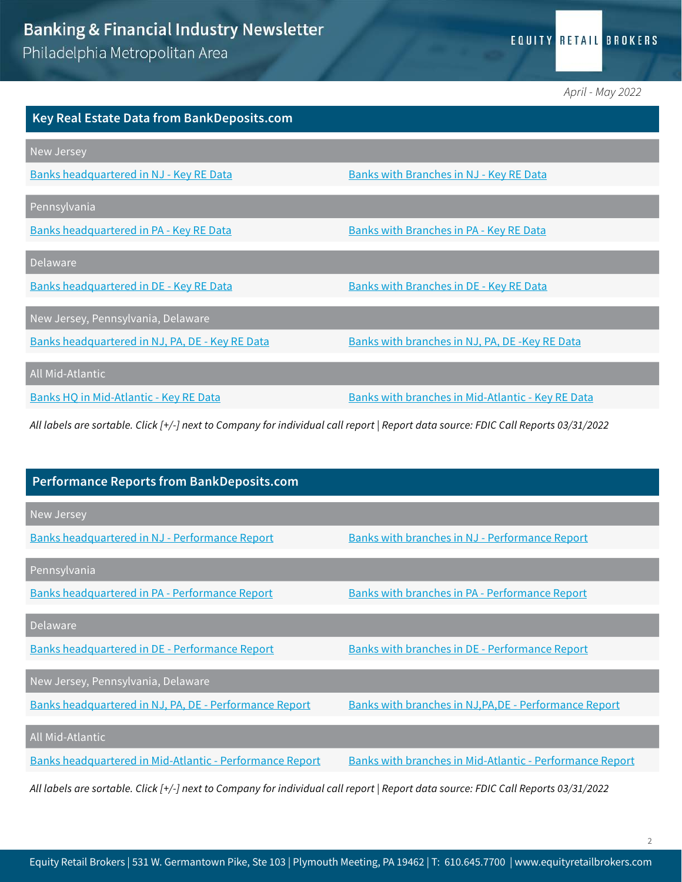*April - May 2022*

| <b>Key Real Estate Data from BankDeposits.com</b> |                                                   |
|---------------------------------------------------|---------------------------------------------------|
| New Jersey                                        |                                                   |
| Banks headquartered in NJ - Key RE Data           | <b>Banks with Branches in NJ - Key RE Data</b>    |
| Pennsylvania                                      |                                                   |
| Banks headquartered in PA - Key RE Data           | Banks with Branches in PA - Key RE Data           |
| Delaware                                          |                                                   |
| Banks headquartered in DE - Key RE Data           | <b>Banks with Branches in DE - Key RE Data</b>    |
| New Jersey, Pennsylvania, Delaware                |                                                   |
| Banks headquartered in NJ, PA, DE - Key RE Data   | Banks with branches in NJ, PA, DE-Key RE Data     |
| All Mid-Atlantic                                  |                                                   |
| Banks HQ in Mid-Atlantic - Key RE Data            | Banks with branches in Mid-Atlantic - Key RE Data |

*All labels are sortable. Click [+/-] next to Company for individual call report | Report data source: FDIC Call Reports 03/31/2022*

| <b>Performance Reports from BankDeposits.com</b>                                                                                   |                                                          |
|------------------------------------------------------------------------------------------------------------------------------------|----------------------------------------------------------|
| New Jersey                                                                                                                         |                                                          |
| Banks headquartered in NJ - Performance Report                                                                                     | <b>Banks with branches in NJ - Performance Report</b>    |
| Pennsylvania                                                                                                                       |                                                          |
| Banks headquartered in PA - Performance Report                                                                                     | Banks with branches in PA - Performance Report           |
| Delaware                                                                                                                           |                                                          |
| Banks headquartered in DE - Performance Report                                                                                     | Banks with branches in DE - Performance Report           |
| New Jersey, Pennsylvania, Delaware                                                                                                 |                                                          |
| Banks headquartered in NJ, PA, DE - Performance Report                                                                             | Banks with branches in NJ, PA, DE - Performance Report   |
| All Mid-Atlantic                                                                                                                   |                                                          |
| Banks headquartered in Mid-Atlantic - Performance Report                                                                           | Banks with branches in Mid-Atlantic - Performance Report |
| All labels are sortable. Click [+/-] next to Company for individual call report   Report data source: FDIC Call Reports 03/31/2022 |                                                          |

Equity Retail Brokers | 531 W. Germantown Pike, Ste 103 | Plymouth Meeting, PA 19462 | T: 610.645.7700 | www.equityretailbrokers.com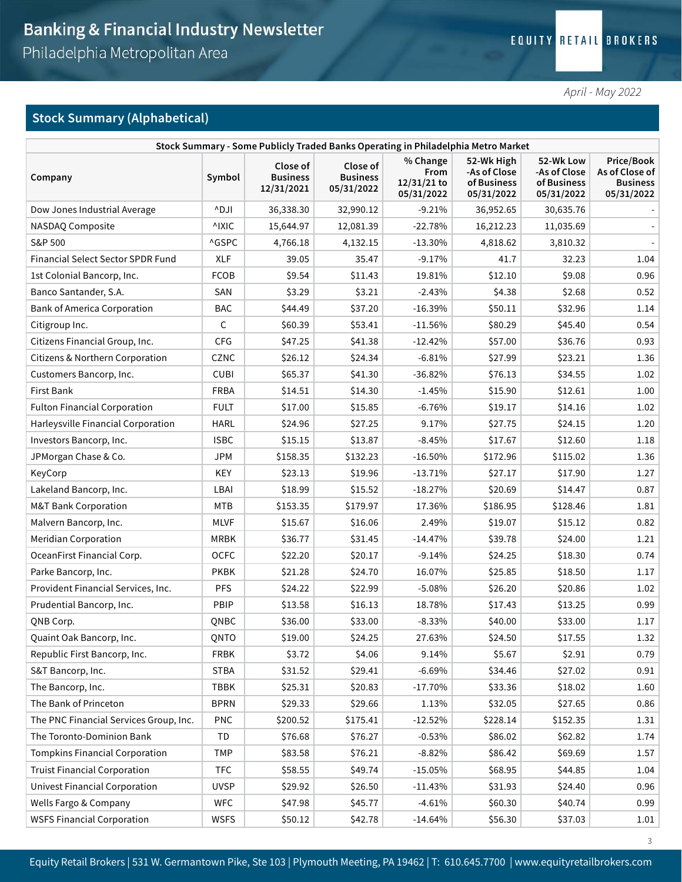*April - May 2022*

3

## Stock Summary (Alphabetical)

| Stock Summary - Some Publicly Traded Banks Operating in Philadelphia Metro Market |             |                                           |                                           |                                                 |                                                         |                                                        |                                                               |  |
|-----------------------------------------------------------------------------------|-------------|-------------------------------------------|-------------------------------------------|-------------------------------------------------|---------------------------------------------------------|--------------------------------------------------------|---------------------------------------------------------------|--|
| Company                                                                           | Symbol      | Close of<br><b>Business</b><br>12/31/2021 | Close of<br><b>Business</b><br>05/31/2022 | % Change<br>From<br>$12/31/21$ to<br>05/31/2022 | 52-Wk High<br>-As of Close<br>of Business<br>05/31/2022 | 52-Wk Low<br>-As of Close<br>of Business<br>05/31/2022 | Price/Book<br>As of Close of<br><b>Business</b><br>05/31/2022 |  |
| Dow Jones Industrial Average                                                      | ^DJI        | 36,338.30                                 | 32,990.12                                 | $-9.21%$                                        | 36,952.65                                               | 30,635.76                                              |                                                               |  |
| NASDAQ Composite                                                                  | ^IXIC       | 15,644.97                                 | 12,081.39                                 | $-22.78%$                                       | 16,212.23                                               | 11,035.69                                              |                                                               |  |
| S&P 500                                                                           | ^GSPC       | 4,766.18                                  | 4,132.15                                  | $-13.30%$                                       | 4,818.62                                                | 3,810.32                                               |                                                               |  |
| <b>Financial Select Sector SPDR Fund</b>                                          | <b>XLF</b>  | 39.05                                     | 35.47                                     | $-9.17%$                                        | 41.7                                                    | 32.23                                                  | 1.04                                                          |  |
| 1st Colonial Bancorp, Inc.                                                        | <b>FCOB</b> | \$9.54                                    | \$11.43                                   | 19.81%                                          | \$12.10                                                 | \$9.08                                                 | 0.96                                                          |  |
| Banco Santander, S.A.                                                             | SAN         | \$3.29                                    | \$3.21                                    | $-2.43%$                                        | \$4.38                                                  | \$2.68                                                 | 0.52                                                          |  |
| <b>Bank of America Corporation</b>                                                | <b>BAC</b>  | \$44.49                                   | \$37.20                                   | $-16.39%$                                       | \$50.11                                                 | \$32.96                                                | 1.14                                                          |  |
| Citigroup Inc.                                                                    | C           | \$60.39                                   | \$53.41                                   | $-11.56%$                                       | \$80.29                                                 | \$45.40                                                | 0.54                                                          |  |
| Citizens Financial Group, Inc.                                                    | <b>CFG</b>  | \$47.25                                   | \$41.38                                   | $-12.42%$                                       | \$57.00                                                 | \$36.76                                                | 0.93                                                          |  |
| Citizens & Northern Corporation                                                   | CZNC        | \$26.12                                   | \$24.34                                   | $-6.81%$                                        | \$27.99                                                 | \$23.21                                                | 1.36                                                          |  |
| Customers Bancorp, Inc.                                                           | <b>CUBI</b> | \$65.37                                   | \$41.30                                   | $-36.82%$                                       | \$76.13                                                 | \$34.55                                                | 1.02                                                          |  |
| First Bank                                                                        | FRBA        | \$14.51                                   | \$14.30                                   | $-1.45%$                                        | \$15.90                                                 | \$12.61                                                | 1.00                                                          |  |
| <b>Fulton Financial Corporation</b>                                               | <b>FULT</b> | \$17.00                                   | \$15.85                                   | $-6.76%$                                        | \$19.17                                                 | \$14.16                                                | 1.02                                                          |  |
| Harleysville Financial Corporation                                                | <b>HARL</b> | \$24.96                                   | \$27.25                                   | 9.17%                                           | \$27.75                                                 | \$24.15                                                | 1.20                                                          |  |
| Investors Bancorp, Inc.                                                           | <b>ISBC</b> | \$15.15                                   | \$13.87                                   | $-8.45%$                                        | \$17.67                                                 | \$12.60                                                | 1.18                                                          |  |
| JPMorgan Chase & Co.                                                              | <b>JPM</b>  | \$158.35                                  | \$132.23                                  | $-16.50%$                                       | \$172.96                                                | \$115.02                                               | 1.36                                                          |  |
| KeyCorp                                                                           | KEY         | \$23.13                                   | \$19.96                                   | $-13.71%$                                       | \$27.17                                                 | \$17.90                                                | 1.27                                                          |  |
| Lakeland Bancorp, Inc.                                                            | LBAI        | \$18.99                                   | \$15.52                                   | $-18.27%$                                       | \$20.69                                                 | \$14.47                                                | 0.87                                                          |  |
| <b>M&amp;T Bank Corporation</b>                                                   | MTB         | \$153.35                                  | \$179.97                                  | 17.36%                                          | \$186.95                                                | \$128.46                                               | 1.81                                                          |  |
| Malvern Bancorp, Inc.                                                             | <b>MLVF</b> | \$15.67                                   | \$16.06                                   | 2.49%                                           | \$19.07                                                 | \$15.12                                                | 0.82                                                          |  |
| <b>Meridian Corporation</b>                                                       | MRBK        | \$36.77                                   | \$31.45                                   | $-14.47%$                                       | \$39.78                                                 | \$24.00                                                | 1.21                                                          |  |
| OceanFirst Financial Corp.                                                        | <b>OCFC</b> | \$22.20                                   | \$20.17                                   | $-9.14%$                                        | \$24.25                                                 | \$18.30                                                | 0.74                                                          |  |
| Parke Bancorp, Inc.                                                               | <b>PKBK</b> | \$21.28                                   | \$24.70                                   | 16.07%                                          | \$25.85                                                 | \$18.50                                                | 1.17                                                          |  |
| Provident Financial Services, Inc.                                                | <b>PFS</b>  | \$24.22                                   | \$22.99                                   | $-5.08%$                                        | \$26.20                                                 | \$20.86                                                | 1.02                                                          |  |
| Prudential Bancorp, Inc.                                                          | PBIP        | \$13.58                                   | \$16.13                                   | 18.78%                                          | \$17.43                                                 | \$13.25                                                | 0.99                                                          |  |
| QNB Corp.                                                                         | QNBC        | \$36.00                                   | \$33.00                                   | $-8.33%$                                        | \$40.00                                                 | \$33.00                                                | 1.17                                                          |  |
| Quaint Oak Bancorp, Inc.                                                          | QNTO        | \$19.00                                   | \$24.25                                   | 27.63%                                          | \$24.50                                                 | \$17.55                                                | 1.32                                                          |  |
| Republic First Bancorp, Inc.                                                      | <b>FRBK</b> | \$3.72                                    | \$4.06                                    | 9.14%                                           | \$5.67                                                  | \$2.91                                                 | 0.79                                                          |  |
| S&T Bancorp, Inc.                                                                 | <b>STBA</b> | \$31.52                                   | \$29.41                                   | $-6.69%$                                        | \$34.46                                                 | \$27.02                                                | 0.91                                                          |  |
| The Bancorp, Inc.                                                                 | TBBK        | \$25.31                                   | \$20.83                                   | $-17.70%$                                       | \$33.36                                                 | \$18.02                                                | 1.60                                                          |  |
| The Bank of Princeton                                                             | <b>BPRN</b> | \$29.33                                   | \$29.66                                   | 1.13%                                           | \$32.05                                                 | \$27.65                                                | 0.86                                                          |  |
| The PNC Financial Services Group, Inc.                                            | <b>PNC</b>  | \$200.52                                  | \$175.41                                  | $-12.52%$                                       | \$228.14                                                | \$152.35                                               | 1.31                                                          |  |
| The Toronto-Dominion Bank                                                         | TD          | \$76.68                                   | \$76.27                                   | $-0.53%$                                        | \$86.02                                                 | \$62.82                                                | 1.74                                                          |  |
| <b>Tompkins Financial Corporation</b>                                             | <b>TMP</b>  | \$83.58                                   | \$76.21                                   | $-8.82%$                                        | \$86.42                                                 | \$69.69                                                | 1.57                                                          |  |
| <b>Truist Financial Corporation</b>                                               | <b>TFC</b>  | \$58.55                                   | \$49.74                                   | $-15.05%$                                       | \$68.95                                                 | \$44.85                                                | 1.04                                                          |  |
| Univest Financial Corporation                                                     | <b>UVSP</b> | \$29.92                                   | \$26.50                                   | $-11.43%$                                       | \$31.93                                                 | \$24.40                                                | 0.96                                                          |  |
| Wells Fargo & Company                                                             | <b>WFC</b>  | \$47.98                                   | \$45.77                                   | $-4.61%$                                        | \$60.30                                                 | \$40.74                                                | 0.99                                                          |  |
| <b>WSFS Financial Corporation</b>                                                 | <b>WSFS</b> | \$50.12                                   | \$42.78                                   | $-14.64%$                                       | \$56.30                                                 | \$37.03                                                | 1.01                                                          |  |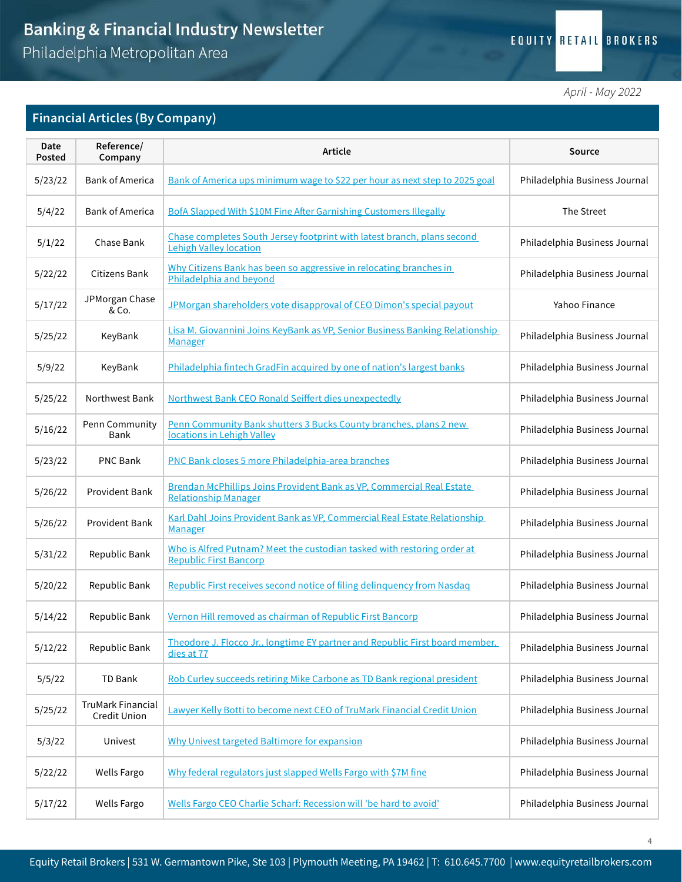## **EQUITY RETAIL BROKERS**

*April - May 2022*

## Financial Articles (By Company)

| Date<br>Posted | Reference/<br>Company             | Article                                                                                                  | Source                        |
|----------------|-----------------------------------|----------------------------------------------------------------------------------------------------------|-------------------------------|
| 5/23/22        | <b>Bank of America</b>            | Bank of America ups minimum wage to \$22 per hour as next step to 2025 goal                              | Philadelphia Business Journal |
| 5/4/22         | <b>Bank of America</b>            | <b>BofA Slapped With \$10M Fine After Garnishing Customers Illegally</b>                                 | The Street                    |
| 5/1/22         | Chase Bank                        | Chase completes South Jersey footprint with latest branch, plans second<br><b>Lehigh Valley location</b> | Philadelphia Business Journal |
| 5/22/22        | <b>Citizens Bank</b>              | Why Citizens Bank has been so aggressive in relocating branches in<br>Philadelphia and beyond            | Philadelphia Business Journal |
| 5/17/22        | JPMorgan Chase<br>& Co.           | JPMorgan shareholders vote disapproval of CEO Dimon's special payout                                     | Yahoo Finance                 |
| 5/25/22        | KeyBank                           | Lisa M. Giovannini Joins KeyBank as VP, Senior Business Banking Relationship<br><b>Manager</b>           | Philadelphia Business Journal |
| 5/9/22         | KeyBank                           | Philadelphia fintech GradFin acquired by one of nation's largest banks                                   | Philadelphia Business Journal |
| 5/25/22        | Northwest Bank                    | Northwest Bank CEO Ronald Seiffert dies unexpectedly                                                     | Philadelphia Business Journal |
| 5/16/22        | Penn Community<br>Bank            | Penn Community Bank shutters 3 Bucks County branches, plans 2 new<br>locations in Lehigh Valley          | Philadelphia Business Journal |
| 5/23/22        | <b>PNC Bank</b>                   | PNC Bank closes 5 more Philadelphia-area branches                                                        | Philadelphia Business Journal |
| 5/26/22        | Provident Bank                    | Brendan McPhillips Joins Provident Bank as VP, Commercial Real Estate<br><b>Relationship Manager</b>     | Philadelphia Business Journal |
| 5/26/22        | <b>Provident Bank</b>             | Karl Dahl Joins Provident Bank as VP, Commercial Real Estate Relationship<br><b>Manager</b>              | Philadelphia Business Journal |
| 5/31/22        | Republic Bank                     | Who is Alfred Putnam? Meet the custodian tasked with restoring order at<br><b>Republic First Bancorp</b> | Philadelphia Business Journal |
| 5/20/22        | Republic Bank                     | Republic First receives second notice of filing delinquency from Nasdaq                                  | Philadelphia Business Journal |
| 5/14/22        | Republic Bank                     | Vernon Hill removed as chairman of Republic First Bancorp                                                | Philadelphia Business Journal |
| 5/12/22        | Republic Bank                     | Theodore J. Flocco Jr., longtime EY partner and Republic First board member,<br>dies at 77               | Philadelphia Business Journal |
| 5/5/22         | TD Bank                           | Rob Curley succeeds retiring Mike Carbone as TD Bank regional president                                  | Philadelphia Business Journal |
| 5/25/22        | TruMark Financial<br>Credit Union | Lawyer Kelly Botti to become next CEO of TruMark Financial Credit Union                                  | Philadelphia Business Journal |
| 5/3/22         | Univest                           | Why Univest targeted Baltimore for expansion                                                             | Philadelphia Business Journal |
| 5/22/22        | <b>Wells Fargo</b>                | Why federal regulators just slapped Wells Fargo with \$7M fine                                           | Philadelphia Business Journal |
| 5/17/22        | <b>Wells Fargo</b>                | Wells Fargo CEO Charlie Scharf: Recession will 'be hard to avoid'                                        | Philadelphia Business Journal |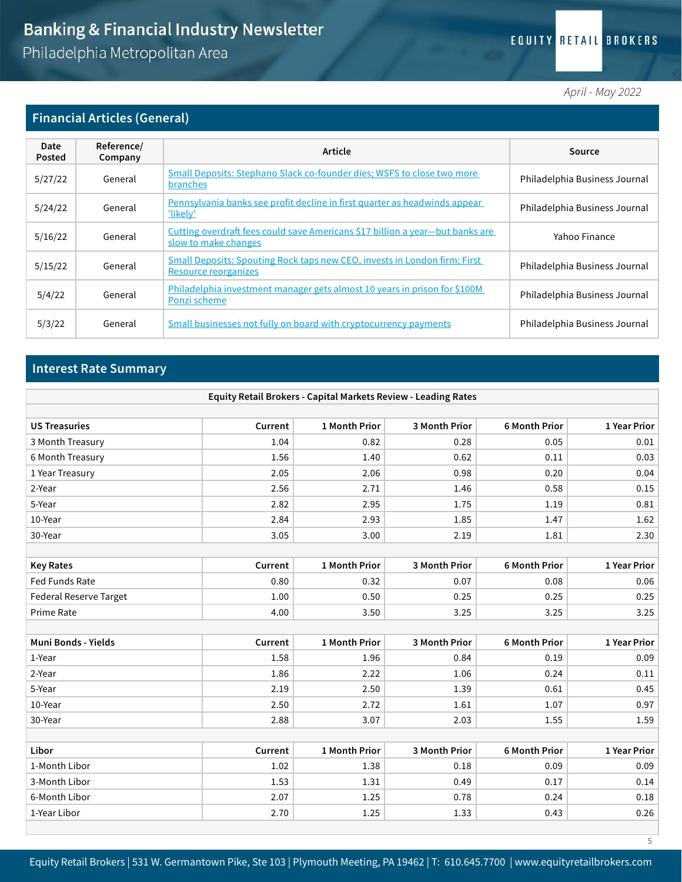#### EQUITY RETAIL BROKERS

*April - May 2022*

#### Financial Articles (General)

| Date<br>Posted | Reference/<br>Company | Article                                                                                               | Source                        |
|----------------|-----------------------|-------------------------------------------------------------------------------------------------------|-------------------------------|
| 5/27/22        | General               | Small Deposits: Stephano Slack co-founder dies; WSFS to close two more<br>branches                    | Philadelphia Business Journal |
| 5/24/22        | General               | Pennsylvania banks see profit decline in first quarter as headwinds appear<br><u>'likely'</u>         | Philadelphia Business Journal |
| 5/16/22        | General               | Cutting overdraft fees could save Americans \$17 billion a year-but banks are<br>slow to make changes | Yahoo Finance                 |
| 5/15/22        | General               | Small Deposits: Spouting Rock taps new CEO, invests in London firm; First<br>Resource reorganizes     | Philadelphia Business Journal |
| 5/4/22         | General               | Philadelphia investment manager gets almost 10 years in prison for \$100M<br>Ponzi scheme             | Philadelphia Business Journal |
| 5/3/22         | General               | Small businesses not fully on board with cryptocurrency payments                                      | Philadelphia Business Journal |

#### Interest Rate Summary

| Equity Retail Brokers - Capital Markets Review - Leading Rates |         |               |               |                      |              |  |  |  |
|----------------------------------------------------------------|---------|---------------|---------------|----------------------|--------------|--|--|--|
|                                                                |         |               |               |                      |              |  |  |  |
| <b>US Treasuries</b>                                           | Current | 1 Month Prior | 3 Month Prior | <b>6 Month Prior</b> | 1 Year Prior |  |  |  |
| 3 Month Treasury                                               | 1.04    | 0.82          | 0.28          | 0.05                 | 0.01         |  |  |  |
| 6 Month Treasury                                               | 1.56    | 1.40          | 0.62          | 0.11                 | 0.03         |  |  |  |
| 1 Year Treasury                                                | 2.05    | 2.06          | 0.98          | 0.20                 | 0.04         |  |  |  |
| 2-Year                                                         | 2.56    | 2.71          | 1.46          | 0.58                 | 0.15         |  |  |  |
| 5-Year                                                         | 2.82    | 2.95          | 1.75          | 1.19                 | 0.81         |  |  |  |
| 10-Year                                                        | 2.84    | 2.93          | 1.85          | 1.47                 | 1.62         |  |  |  |
| 30-Year                                                        | 3.05    | 3.00          | 2.19          | 1.81                 | 2.30         |  |  |  |
|                                                                |         |               |               |                      |              |  |  |  |
| <b>Key Rates</b>                                               | Current | 1 Month Prior | 3 Month Prior | 6 Month Prior        | 1 Year Prior |  |  |  |
| Fed Funds Rate                                                 | 0.80    | 0.32          | 0.07          | 0.08                 | 0.06         |  |  |  |
| <b>Federal Reserve Target</b>                                  | 1.00    | 0.50          | 0.25          | 0.25                 | 0.25         |  |  |  |
| Prime Rate                                                     | 4.00    | 3.50          | 3.25          | 3.25                 | 3.25         |  |  |  |
|                                                                |         |               |               |                      |              |  |  |  |
| <b>Muni Bonds - Yields</b>                                     | Current | 1 Month Prior | 3 Month Prior | <b>6 Month Prior</b> | 1 Year Prior |  |  |  |
| 1-Year                                                         | 1.58    | 1.96          | 0.84          | 0.19                 | 0.09         |  |  |  |
| 2-Year                                                         | 1.86    | 2.22          | 1.06          | 0.24                 | 0.11         |  |  |  |
| 5-Year                                                         | 2.19    | 2.50          | 1.39          | 0.61                 | 0.45         |  |  |  |
| 10-Year                                                        | 2.50    | 2.72          | 1.61          | 1.07                 | 0.97         |  |  |  |
| 30-Year                                                        | 2.88    | 3.07          | 2.03          | 1.55                 | 1.59         |  |  |  |
|                                                                |         |               |               |                      |              |  |  |  |
| Libor                                                          | Current | 1 Month Prior | 3 Month Prior | <b>6 Month Prior</b> | 1 Year Prior |  |  |  |
| 1-Month Libor                                                  | 1.02    | 1.38          | 0.18          | 0.09                 | 0.09         |  |  |  |
| 3-Month Libor                                                  | 1.53    | 1.31          | 0.49          | 0.17                 | 0.14         |  |  |  |
| 6-Month Libor                                                  | 2.07    | 1.25          | 0.78          | 0.24                 | 0.18         |  |  |  |
| 1-Year Libor                                                   | 2.70    | 1.25          | 1.33          | 0.43                 | 0.26         |  |  |  |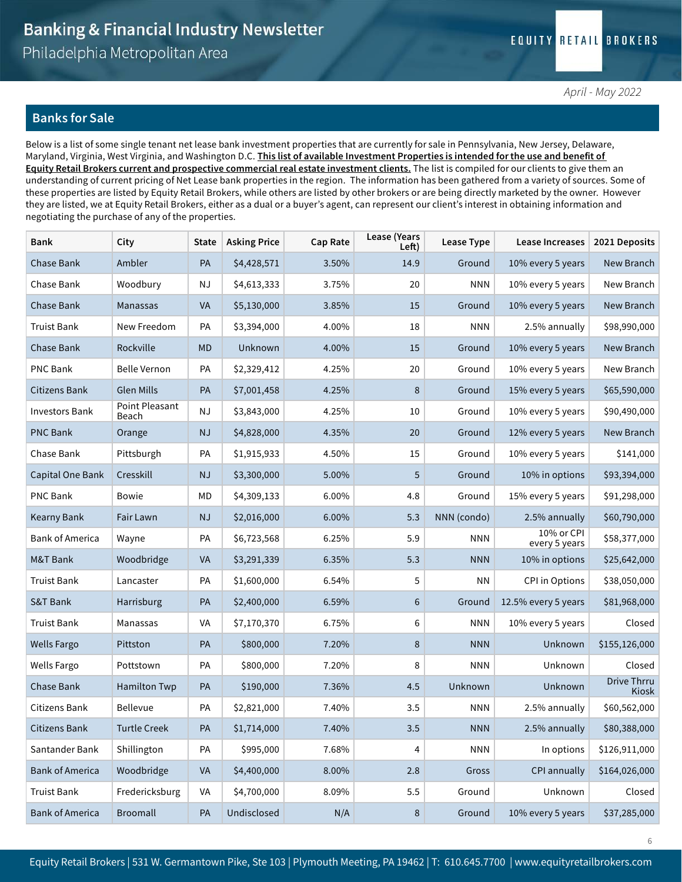#### Banks for Sale

Below is a list of some single tenant net lease bank investment properties that are currently for sale in Pennsylvania, New Jersey, Delaware, Maryland, Virginia, West Virginia, and Washington D.C. This list of available Investment Properties is intended for the use and benefit of Equity Retail Brokers current and prospective commercial real estate investment clients. The list is compiled for our clients to give them an understanding of current pricing of Net Lease bank properties in the region. The information has been gathered from a variety of sources. Some of these properties are listed by Equity Retail Brokers, while others are listed by other brokers or are being directly marketed by the owner. However they are listed, we at Equity Retail Brokers, either as a dual or a buyer's agent, can represent our client's interest in obtaining information and negotiating the purchase of any of the properties.

| <b>Bank</b>            | City                    | <b>State</b>  | <b>Asking Price</b> | Cap Rate | <b>Lease (Years</b><br>Left) | Lease Type  | Lease Increases             | 2021 Deposits               |
|------------------------|-------------------------|---------------|---------------------|----------|------------------------------|-------------|-----------------------------|-----------------------------|
| Chase Bank             | Ambler                  | PA            | \$4,428,571         | 3.50%    | 14.9                         | Ground      | 10% every 5 years           | New Branch                  |
| Chase Bank             | Woodbury                | <b>NJ</b>     | \$4,613,333         | 3.75%    | 20                           | <b>NNN</b>  | 10% every 5 years           | New Branch                  |
| Chase Bank             | Manassas                | <b>VA</b>     | \$5,130,000         | 3.85%    | 15                           | Ground      | 10% every 5 years           | New Branch                  |
| <b>Truist Bank</b>     | New Freedom             | PA            | \$3,394,000         | 4.00%    | 18                           | <b>NNN</b>  | 2.5% annually               | \$98,990,000                |
| Chase Bank             | Rockville               | <b>MD</b>     | Unknown             | 4.00%    | 15                           | Ground      | 10% every 5 years           | New Branch                  |
| <b>PNC Bank</b>        | <b>Belle Vernon</b>     | PA            | \$2,329,412         | 4.25%    | 20                           | Ground      | 10% every 5 years           | New Branch                  |
| Citizens Bank          | <b>Glen Mills</b>       | PA            | \$7,001,458         | 4.25%    | $\,8\,$                      | Ground      | 15% every 5 years           | \$65,590,000                |
| <b>Investors Bank</b>  | Point Pleasant<br>Beach | <b>NJ</b>     | \$3,843,000         | 4.25%    | 10                           | Ground      | 10% every 5 years           | \$90,490,000                |
| <b>PNC Bank</b>        | Orange                  | <b>NJ</b>     | \$4,828,000         | 4.35%    | 20                           | Ground      | 12% every 5 years           | New Branch                  |
| Chase Bank             | Pittsburgh              | PA            | \$1,915,933         | 4.50%    | 15                           | Ground      | 10% every 5 years           | \$141,000                   |
| Capital One Bank       | Cresskill               | <b>NJ</b>     | \$3,300,000         | 5.00%    | 5                            | Ground      | 10% in options              | \$93,394,000                |
| PNC Bank               | <b>Bowie</b>            | MD            | \$4,309,133         | 6.00%    | 4.8                          | Ground      | 15% every 5 years           | \$91,298,000                |
| Kearny Bank            | Fair Lawn               | <b>NJ</b>     | \$2,016,000         | 6.00%    | 5.3                          | NNN (condo) | 2.5% annually               | \$60,790,000                |
| <b>Bank of America</b> | Wayne                   | PA            | \$6,723,568         | 6.25%    | 5.9                          | <b>NNN</b>  | 10% or CPI<br>every 5 years | \$58,377,000                |
| M&T Bank               | Woodbridge              | VA            | \$3,291,339         | 6.35%    | 5.3                          | <b>NNN</b>  | 10% in options              | \$25,642,000                |
| <b>Truist Bank</b>     | Lancaster               | PA            | \$1,600,000         | 6.54%    | 5                            | ΝN          | <b>CPI</b> in Options       | \$38,050,000                |
| <b>S&amp;T Bank</b>    | Harrisburg              | PA            | \$2,400,000         | 6.59%    | 6                            | Ground      | 12.5% every 5 years         | \$81,968,000                |
| <b>Truist Bank</b>     | Manassas                | VA            | \$7,170,370         | 6.75%    | 6                            | <b>NNN</b>  | 10% every 5 years           | Closed                      |
| <b>Wells Fargo</b>     | Pittston                | PA            | \$800,000           | 7.20%    | $\,8\,$                      | <b>NNN</b>  | Unknown                     | \$155,126,000               |
| <b>Wells Fargo</b>     | Pottstown               | PA            | \$800,000           | 7.20%    | 8                            | <b>NNN</b>  | Unknown                     | Closed                      |
| Chase Bank             | <b>Hamilton Twp</b>     | PA            | \$190,000           | 7.36%    | 4.5                          | Unknown     | Unknown                     | <b>Drive Thrru</b><br>Kiosk |
| <b>Citizens Bank</b>   | Bellevue                | PA            | \$2,821,000         | 7.40%    | 3.5                          | <b>NNN</b>  | 2.5% annually               | \$60,562,000                |
| Citizens Bank          | <b>Turtle Creek</b>     | $\mathsf{PA}$ | \$1,714,000         | 7.40%    | 3.5                          | <b>NNN</b>  | 2.5% annually               | \$80,388,000                |
| Santander Bank         | Shillington             | PA            | \$995,000           | 7.68%    | 4                            | <b>NNN</b>  | In options                  | \$126,911,000               |
| <b>Bank of America</b> | Woodbridge              | <b>VA</b>     | \$4,400,000         | 8.00%    | 2.8                          | Gross       | CPI annually                | \$164,026,000               |
| <b>Truist Bank</b>     | Fredericksburg          | VA            | \$4,700,000         | 8.09%    | $5.5\,$                      | Ground      | Unknown                     | Closed                      |
| <b>Bank of America</b> | Broomall                | PA            | Undisclosed         | N/A      | $\,8\,$                      | Ground      | 10% every 5 years           | \$37,285,000                |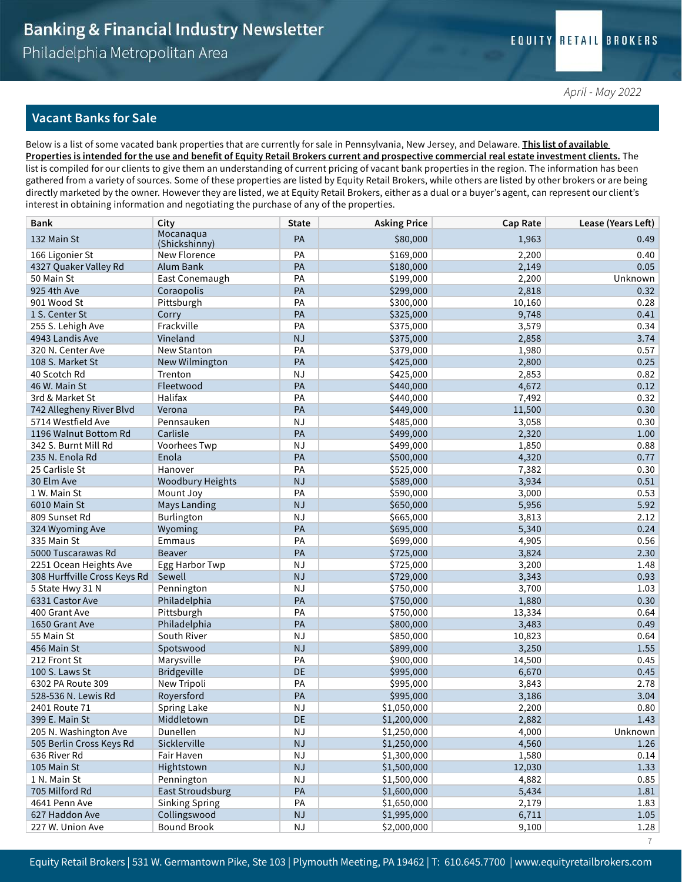#### Vacant Banks for Sale

Below is a list of some vacated bank properties that are currently for sale in Pennsylvania, New Jersey, and Delaware. *This list of available* Properties is intended for the use and benefit of Equity Retail Brokers current and prospective commercial real estate investment clients. The list is compiled for our clients to give them an understanding of current pricing of vacant bank properties in the region. The information has been gathered from a variety of sources. Some of these properties are listed by Equity Retail Brokers, while others are listed by other brokers or are being directly marketed by the owner. However they are listed, we at Equity Retail Brokers, either as a dual or a buyer's agent, can represent our client's interest in obtaining information and negotiating the purchase of any of the properties.

| <b>Bank</b>                  | City                       | <b>State</b> | <b>Asking Price</b> | Cap Rate | Lease (Years Left) |
|------------------------------|----------------------------|--------------|---------------------|----------|--------------------|
| 132 Main St                  | Mocanaqua<br>(Shickshinny) | PA           | \$80,000            | 1,963    | 0.49               |
| 166 Ligonier St              | New Florence               | PA           | \$169,000           | 2,200    | 0.40               |
| 4327 Quaker Valley Rd        | Alum Bank                  | PA           | \$180,000           | 2,149    | 0.05               |
| 50 Main St                   | East Conemaugh             | PA           | \$199,000           | 2,200    | Unknown            |
| 925 4th Ave                  | Coraopolis                 | PA           | \$299,000           | 2,818    | 0.32               |
| 901 Wood St                  | Pittsburgh                 | PA           | \$300,000           | 10,160   | 0.28               |
| 1 S. Center St               | Corry                      | PA           | \$325,000           | 9,748    | 0.41               |
| 255 S. Lehigh Ave            | Frackville                 | PA           | \$375,000           | 3,579    | 0.34               |
| 4943 Landis Ave              | Vineland                   | NJ           | \$375,000           | 2,858    | 3.74               |
| 320 N. Center Ave            | New Stanton                | PA           | \$379,000           | 1,980    | 0.57               |
| 108 S. Market St             | New Wilmington             | PA           | \$425,000           | 2,800    | 0.25               |
| 40 Scotch Rd                 | Trenton                    | <b>NJ</b>    | \$425,000           | 2,853    | 0.82               |
| 46 W. Main St                | Fleetwood                  | PA           | \$440,000           | 4,672    | 0.12               |
| 3rd & Market St              | Halifax                    | PA           | \$440,000           | 7,492    | 0.32               |
| 742 Allegheny River Blvd     | Verona                     | PA           | \$449,000           | 11,500   | 0.30               |
| 5714 Westfield Ave           | Pennsauken                 | <b>NJ</b>    | \$485,000           | 3,058    | 0.30               |
| 1196 Walnut Bottom Rd        | Carlisle                   | PA           | \$499,000           | 2,320    | 1.00               |
| 342 S. Burnt Mill Rd         | Voorhees Twp               | <b>NJ</b>    | \$499,000           | 1,850    | 0.88               |
| 235 N. Enola Rd              | Enola                      | PA           | \$500,000           | 4,320    | 0.77               |
| 25 Carlisle St               | Hanover                    | PA           | \$525,000           | 7,382    | 0.30               |
| 30 Elm Ave                   | <b>Woodbury Heights</b>    | NJ           | \$589,000           | 3,934    | 0.51               |
| 1 W. Main St                 | Mount Joy                  | PA           | \$590,000           | 3,000    | 0.53               |
| 6010 Main St                 | <b>Mays Landing</b>        | NJ           | \$650,000           | 5,956    | 5.92               |
| 809 Sunset Rd                | Burlington                 | <b>NJ</b>    | \$665,000           | 3,813    | 2.12               |
| 324 Wyoming Ave              | Wyoming                    | PA           | \$695,000           | 5,340    | 0.24               |
| 335 Main St                  | Emmaus                     | PA           | \$699,000           | 4,905    | 0.56               |
| 5000 Tuscarawas Rd           | <b>Beaver</b>              | PA           | \$725,000           | 3,824    | 2.30               |
| 2251 Ocean Heights Ave       | Egg Harbor Twp             | <b>NJ</b>    | \$725,000           | 3,200    | 1.48               |
| 308 Hurffville Cross Keys Rd | Sewell                     | <b>NJ</b>    | \$729,000           | 3,343    | 0.93               |
| 5 State Hwy 31 N             | Pennington                 | <b>NJ</b>    | \$750,000           | 3,700    | 1.03               |
| 6331 Castor Ave              | Philadelphia               | PA           | \$750,000           | 1,880    | 0.30               |
| 400 Grant Ave                | Pittsburgh                 | PA           | \$750,000           | 13,334   | 0.64               |
| 1650 Grant Ave               | Philadelphia               | PA           | \$800,000           | 3,483    | 0.49               |
| 55 Main St                   | South River                | <b>NJ</b>    | \$850,000           | 10,823   | 0.64               |
| 456 Main St                  | Spotswood                  | <b>NJ</b>    | \$899,000           | 3,250    | 1.55               |
| 212 Front St                 | Marysville                 | PA           | \$900,000           | 14,500   | 0.45               |
| 100 S. Laws St               | Bridgeville                | <b>DE</b>    | \$995,000           | 6,670    | 0.45               |
| 6302 PA Route 309            | New Tripoli                | PA           | \$995,000           | 3,843    | 2.78               |
| 528-536 N. Lewis Rd          | Royersford                 | PA           | \$995,000           | 3,186    | 3.04               |
| 2401 Route 71                | Spring Lake                | <b>NJ</b>    | \$1,050,000         | 2,200    | 0.80               |
| 399 E. Main St               | Middletown                 | DE           | \$1,200,000         | 2,882    | 1.43               |
| 205 N. Washington Ave        | Dunellen                   | <b>NJ</b>    | \$1,250,000         | 4,000    | Unknown            |
| 505 Berlin Cross Keys Rd     | Sicklerville               | NJ           | \$1,250,000         | 4,560    | 1.26               |
| 636 River Rd                 | Fair Haven                 | <b>NJ</b>    | \$1,300,000         | 1,580    | 0.14               |
| 105 Main St                  | Hightstown                 | NJ           | \$1,500,000         | 12,030   | 1.33               |
| 1 N. Main St                 | Pennington                 | NJ           | \$1,500,000         | 4,882    | 0.85               |
| 705 Milford Rd               | East Stroudsburg           | PA           | \$1,600,000         | 5,434    | $1.81\,$           |
| 4641 Penn Ave                | <b>Sinking Spring</b>      | PA           | \$1,650,000         | 2,179    | 1.83               |
| 627 Haddon Ave               | Collingswood               | NJ           | \$1,995,000         | 6,711    | 1.05               |
| 227 W. Union Ave             | <b>Bound Brook</b>         | NJ           | \$2,000,000         | 9,100    | 1.28               |
|                              |                            |              |                     |          | $\overline{7}$     |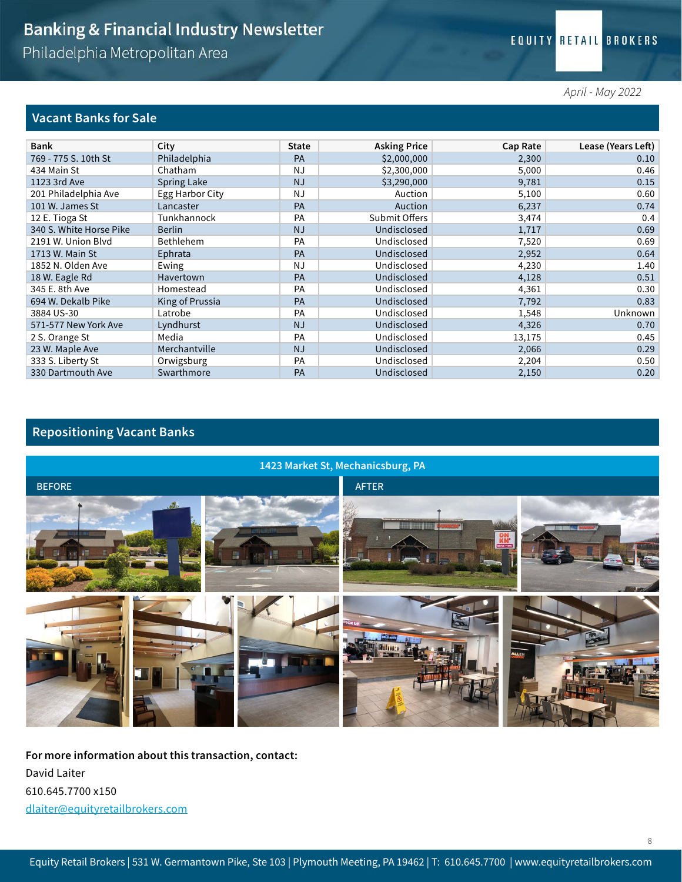*April - May 2022*

#### Vacant Banks for Sale

| <b>Bank</b>             | City            | <b>State</b> | <b>Asking Price</b> | Cap Rate | Lease (Years Left) |
|-------------------------|-----------------|--------------|---------------------|----------|--------------------|
| 769 - 775 S. 10th St    | Philadelphia    | <b>PA</b>    | \$2,000,000         | 2,300    | 0.10               |
| 434 Main St             | Chatham         | <b>NJ</b>    | \$2,300,000         | 5,000    | 0.46               |
| 1123 3rd Ave            | Spring Lake     | <b>NJ</b>    | \$3,290,000         | 9,781    | 0.15               |
| 201 Philadelphia Ave    | Egg Harbor City | <b>NJ</b>    | Auction             | 5,100    | 0.60               |
| 101 W. James St         | Lancaster       | PA           | Auction             | 6,237    | 0.74               |
| 12 E. Tioga St          | Tunkhannock     | PA           | Submit Offers       | 3,474    | 0.4                |
| 340 S. White Horse Pike | <b>Berlin</b>   | <b>NJ</b>    | Undisclosed         | 1,717    | 0.69               |
| 2191 W. Union Blyd      | Bethlehem       | PA           | Undisclosed         | 7,520    | 0.69               |
| 1713 W. Main St         | Ephrata         | PA           | Undisclosed         | 2,952    | 0.64               |
| 1852 N. Olden Ave       | Ewing           | NJ           | Undisclosed         | 4,230    | 1.40               |
| 18 W. Eagle Rd          | Havertown       | PA           | Undisclosed         | 4,128    | 0.51               |
| 345 E. 8th Ave          | Homestead       | PA           | Undisclosed         | 4,361    | 0.30               |
| 694 W. Dekalb Pike      | King of Prussia | PA           | Undisclosed         | 7,792    | 0.83               |
| 3884 US-30              | Latrobe         | PA           | Undisclosed         | 1,548    | Unknown            |
| 571-577 New York Ave    | Lyndhurst       | <b>NJ</b>    | Undisclosed         | 4,326    | 0.70               |
| 2 S. Orange St          | Media           | PA           | Undisclosed         | 13,175   | 0.45               |
| 23 W. Maple Ave         | Merchantville   | <b>NJ</b>    | Undisclosed         | 2,066    | 0.29               |
| 333 S. Liberty St       | Orwigsburg      | PA           | Undisclosed         | 2,204    | 0.50               |
| 330 Dartmouth Ave       | Swarthmore      | PA           | Undisclosed         | 2,150    | 0.20               |

## Repositioning Vacant Banks



For more information about this transaction, contact: David Laiter 610.645.7700 x150 dlaiter@equityretailbrokers.com